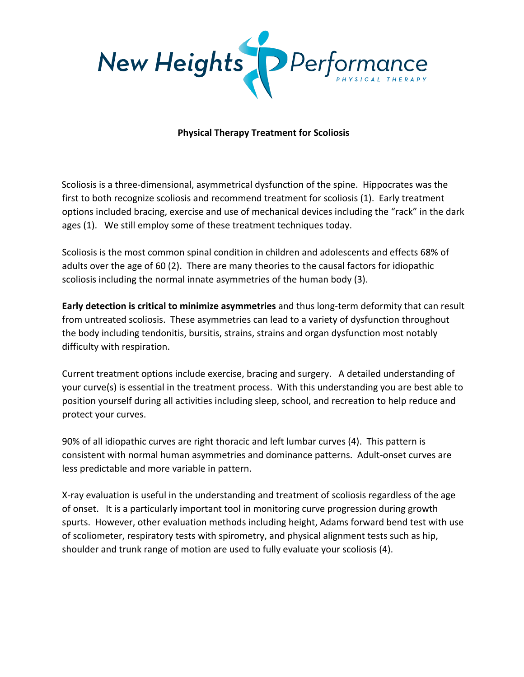

## **Physical Therapy Treatment for Scoliosis**

Scoliosis is a three-dimensional, asymmetrical dysfunction of the spine. Hippocrates was the first to both recognize scoliosis and recommend treatment for scoliosis (1). Early treatment options included bracing, exercise and use of mechanical devices including the "rack" in the dark ages (1). We still employ some of these treatment techniques today.

Scoliosis is the most common spinal condition in children and adolescents and effects 68% of adults over the age of 60 (2). There are many theories to the causal factors for idiopathic scoliosis including the normal innate asymmetries of the human body (3).

**Early detection is critical to minimize asymmetries** and thus long-term deformity that can result from untreated scoliosis. These asymmetries can lead to a variety of dysfunction throughout the body including tendonitis, bursitis, strains, strains and organ dysfunction most notably difficulty with respiration.

Current treatment options include exercise, bracing and surgery. A detailed understanding of your curve(s) is essential in the treatment process. With this understanding you are best able to position yourself during all activities including sleep, school, and recreation to help reduce and protect your curves.

90% of all idiopathic curves are right thoracic and left lumbar curves (4). This pattern is consistent with normal human asymmetries and dominance patterns. Adult-onset curves are less predictable and more variable in pattern.

X-ray evaluation is useful in the understanding and treatment of scoliosis regardless of the age of onset. It is a particularly important tool in monitoring curve progression during growth spurts. However, other evaluation methods including height, Adams forward bend test with use of scoliometer, respiratory tests with spirometry, and physical alignment tests such as hip, shoulder and trunk range of motion are used to fully evaluate your scoliosis (4).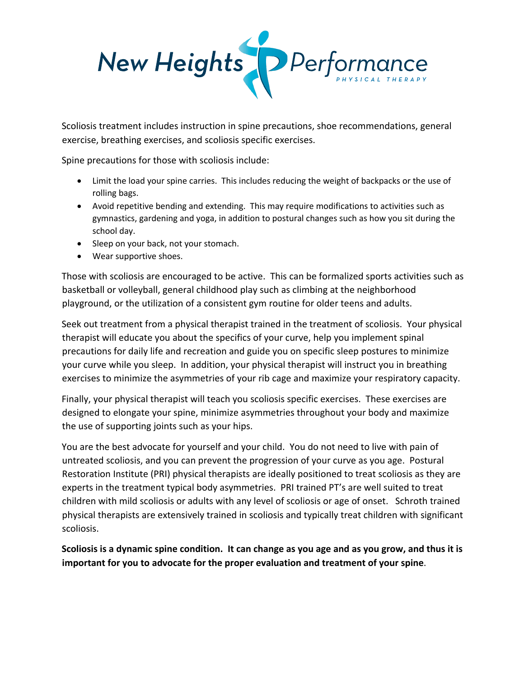

Scoliosis treatment includes instruction in spine precautions, shoe recommendations, general exercise, breathing exercises, and scoliosis specific exercises.

Spine precautions for those with scoliosis include:

- Limit the load your spine carries. This includes reducing the weight of backpacks or the use of rolling bags.
- Avoid repetitive bending and extending. This may require modifications to activities such as gymnastics, gardening and yoga, in addition to postural changes such as how you sit during the school day.
- Sleep on your back, not your stomach.
- Wear supportive shoes.

Those with scoliosis are encouraged to be active. This can be formalized sports activities such as basketball or volleyball, general childhood play such as climbing at the neighborhood playground, or the utilization of a consistent gym routine for older teens and adults.

Seek out treatment from a physical therapist trained in the treatment of scoliosis. Your physical therapist will educate you about the specifics of your curve, help you implement spinal precautions for daily life and recreation and guide you on specific sleep postures to minimize your curve while you sleep. In addition, your physical therapist will instruct you in breathing exercises to minimize the asymmetries of your rib cage and maximize your respiratory capacity.

Finally, your physical therapist will teach you scoliosis specific exercises. These exercises are designed to elongate your spine, minimize asymmetries throughout your body and maximize the use of supporting joints such as your hips.

You are the best advocate for yourself and your child. You do not need to live with pain of untreated scoliosis, and you can prevent the progression of your curve as you age. Postural Restoration Institute (PRI) physical therapists are ideally positioned to treat scoliosis as they are experts in the treatment typical body asymmetries. PRI trained PT's are well suited to treat children with mild scoliosis or adults with any level of scoliosis or age of onset. Schroth trained physical therapists are extensively trained in scoliosis and typically treat children with significant scoliosis.

**Scoliosis is a dynamic spine condition. It can change as you age and as you grow, and thus it is important for you to advocate for the proper evaluation and treatment of your spine**.